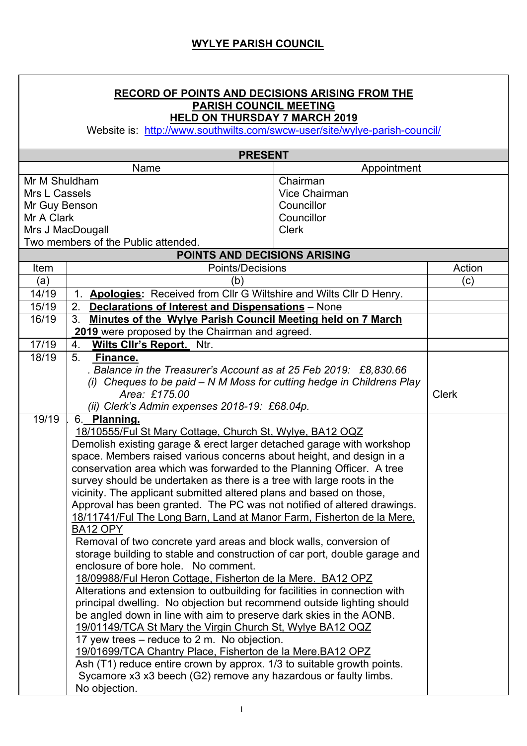## **RECORD OF POINTS AND DECISIONS ARISING FROM THE PARISH COUNCIL MEETING HELD ON THURSDAY 7 MARCH 2019**

Website is: http://www.southwilts.com/swcw-user/site/wylye-parish-council/

| <b>PRESENT</b>                      |                                                                            |               |              |  |  |  |
|-------------------------------------|----------------------------------------------------------------------------|---------------|--------------|--|--|--|
| Name<br>Appointment                 |                                                                            |               |              |  |  |  |
| Mr M Shuldham                       |                                                                            | Chairman      |              |  |  |  |
| Mrs L Cassels                       |                                                                            | Vice Chairman |              |  |  |  |
| Councillor<br>Mr Guy Benson         |                                                                            |               |              |  |  |  |
| Mr A Clark<br>Councillor            |                                                                            |               |              |  |  |  |
| Mrs J MacDougall<br><b>Clerk</b>    |                                                                            |               |              |  |  |  |
| Two members of the Public attended. |                                                                            |               |              |  |  |  |
| POINTS AND DECISIONS ARISING        |                                                                            |               |              |  |  |  |
| Item                                | Points/Decisions                                                           |               | Action       |  |  |  |
| (a)                                 | (b)                                                                        |               | (c)          |  |  |  |
| 14/19                               | 1. Apologies: Received from Cllr G Wiltshire and Wilts Cllr D Henry.       |               |              |  |  |  |
| 15/19                               | Declarations of Interest and Dispensations - None<br>2.                    |               |              |  |  |  |
| 16/19                               | Minutes of the Wylye Parish Council Meeting held on 7 March<br>3.          |               |              |  |  |  |
|                                     | 2019 were proposed by the Chairman and agreed.                             |               |              |  |  |  |
| 17/19                               | Wilts Cllr's Report. Ntr.<br>4.                                            |               |              |  |  |  |
| 18/19                               | 5.<br>Finance.                                                             |               |              |  |  |  |
|                                     | Balance in the Treasurer's Account as at 25 Feb 2019: £8,830.66            |               |              |  |  |  |
|                                     | (i) Cheques to be paid – N M Moss for cutting hedge in Childrens Play      |               |              |  |  |  |
|                                     | Area: £175.00                                                              |               | <b>Clerk</b> |  |  |  |
|                                     | (ii) Clerk's Admin expenses 2018-19: £68.04p.                              |               |              |  |  |  |
| 19/19                               | 6. Planning.                                                               |               |              |  |  |  |
|                                     | 18/10555/Ful St Mary Cottage, Church St, Wylye, BA12 OQZ                   |               |              |  |  |  |
|                                     | Demolish existing garage & erect larger detached garage with workshop      |               |              |  |  |  |
|                                     | space. Members raised various concerns about height, and design in a       |               |              |  |  |  |
|                                     | conservation area which was forwarded to the Planning Officer. A tree      |               |              |  |  |  |
|                                     | survey should be undertaken as there is a tree with large roots in the     |               |              |  |  |  |
|                                     | vicinity. The applicant submitted altered plans and based on those,        |               |              |  |  |  |
|                                     | Approval has been granted. The PC was not notified of altered drawings.    |               |              |  |  |  |
|                                     | 18/11741/Ful The Long Barn, Land at Manor Farm, Fisherton de la Mere,      |               |              |  |  |  |
|                                     | BA12 OPY                                                                   |               |              |  |  |  |
|                                     | Removal of two concrete yard areas and block walls, conversion of          |               |              |  |  |  |
|                                     | storage building to stable and construction of car port, double garage and |               |              |  |  |  |
|                                     | enclosure of bore hole. No comment.                                        |               |              |  |  |  |
|                                     | 18/09988/Ful Heron Cottage, Fisherton de la Mere. BA12 OPZ                 |               |              |  |  |  |
|                                     | Alterations and extension to outbuilding for facilities in connection with |               |              |  |  |  |
|                                     | principal dwelling. No objection but recommend outside lighting should     |               |              |  |  |  |
|                                     | be angled down in line with aim to preserve dark skies in the AONB.        |               |              |  |  |  |
|                                     | 19/01149/TCA St Mary the Virgin Church St, Wylye BA12 OQZ                  |               |              |  |  |  |
|                                     | 17 yew trees – reduce to 2 m. No objection.                                |               |              |  |  |  |
|                                     | 19/01699/TCA Chantry Place, Fisherton de la Mere. BA12 OPZ                 |               |              |  |  |  |
|                                     | Ash (T1) reduce entire crown by approx. 1/3 to suitable growth points.     |               |              |  |  |  |
|                                     | Sycamore x3 x3 beech (G2) remove any hazardous or faulty limbs.            |               |              |  |  |  |
|                                     | No objection.                                                              |               |              |  |  |  |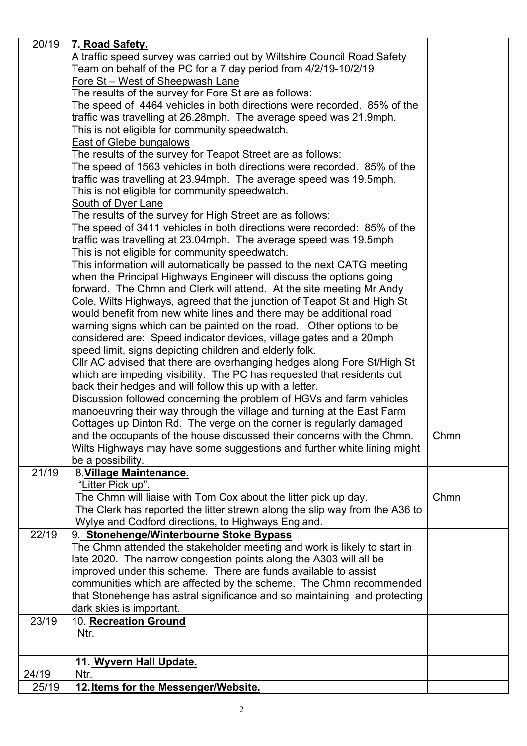| 20/19 | 7. Road Safety.                                                                                                                                 |      |
|-------|-------------------------------------------------------------------------------------------------------------------------------------------------|------|
|       | A traffic speed survey was carried out by Wiltshire Council Road Safety                                                                         |      |
|       | Team on behalf of the PC for a 7 day period from 4/2/19-10/2/19                                                                                 |      |
|       | Fore St - West of Sheepwash Lane                                                                                                                |      |
|       | The results of the survey for Fore St are as follows:                                                                                           |      |
|       | The speed of 4464 vehicles in both directions were recorded. 85% of the                                                                         |      |
|       | traffic was travelling at 26.28mph. The average speed was 21.9mph.                                                                              |      |
|       | This is not eligible for community speedwatch.                                                                                                  |      |
|       | East of Glebe bungalows                                                                                                                         |      |
|       | The results of the survey for Teapot Street are as follows:                                                                                     |      |
|       | The speed of 1563 vehicles in both directions were recorded. 85% of the                                                                         |      |
|       | traffic was travelling at 23.94mph. The average speed was 19.5mph.                                                                              |      |
|       | This is not eligible for community speedwatch.                                                                                                  |      |
|       | <b>South of Dyer Lane</b>                                                                                                                       |      |
|       | The results of the survey for High Street are as follows:                                                                                       |      |
|       | The speed of 3411 vehicles in both directions were recorded: 85% of the                                                                         |      |
|       | traffic was travelling at 23.04mph. The average speed was 19.5mph                                                                               |      |
|       | This is not eligible for community speedwatch.                                                                                                  |      |
|       | This information will automatically be passed to the next CATG meeting                                                                          |      |
|       | when the Principal Highways Engineer will discuss the options going                                                                             |      |
|       | forward. The Chmn and Clerk will attend. At the site meeting Mr Andy                                                                            |      |
|       | Cole, Wilts Highways, agreed that the junction of Teapot St and High St                                                                         |      |
|       | would benefit from new white lines and there may be additional road                                                                             |      |
|       | warning signs which can be painted on the road. Other options to be                                                                             |      |
|       | considered are: Speed indicator devices, village gates and a 20mph                                                                              |      |
|       | speed limit, signs depicting children and elderly folk.                                                                                         |      |
|       | CIIr AC advised that there are overhanging hedges along Fore St/High St                                                                         |      |
|       | which are impeding visibility. The PC has requested that residents cut                                                                          |      |
|       | back their hedges and will follow this up with a letter.                                                                                        |      |
|       | Discussion followed concerning the problem of HGVs and farm vehicles                                                                            |      |
|       | manoeuvring their way through the village and turning at the East Farm                                                                          |      |
|       | Cottages up Dinton Rd. The verge on the corner is regularly damaged                                                                             |      |
|       | and the occupants of the house discussed their concerns with the Chmn.                                                                          | Chmn |
|       | Wilts Highways may have some suggestions and further white lining might                                                                         |      |
|       | be a possibility.                                                                                                                               |      |
| 21/19 | 8. Village Maintenance.                                                                                                                         |      |
|       | "Litter Pick up".                                                                                                                               |      |
|       | The Chmn will liaise with Tom Cox about the litter pick up day.                                                                                 | Chmn |
|       | The Clerk has reported the litter strewn along the slip way from the A36 to                                                                     |      |
| 22/19 | Wylye and Codford directions, to Highways England.                                                                                              |      |
|       | 9. Stonehenge/Winterbourne Stoke Bypass<br>The Chmn attended the stakeholder meeting and work is likely to start in                             |      |
|       | late 2020. The narrow congestion points along the A303 will all be                                                                              |      |
|       | improved under this scheme. There are funds available to assist                                                                                 |      |
|       |                                                                                                                                                 |      |
|       | communities which are affected by the scheme. The Chmn recommended<br>that Stonehenge has astral significance and so maintaining and protecting |      |
|       | dark skies is important.                                                                                                                        |      |
| 23/19 | 10. Recreation Ground                                                                                                                           |      |
|       | Ntr.                                                                                                                                            |      |
|       |                                                                                                                                                 |      |
|       |                                                                                                                                                 |      |
|       | 11. Wyvern Hall Update.                                                                                                                         |      |
| 24/19 | Ntr.                                                                                                                                            |      |
| 25/19 | 12. Items for the Messenger/Website.                                                                                                            |      |